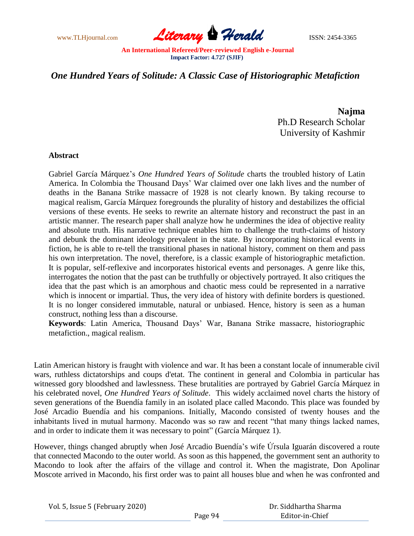

## *One Hundred Years of Solitude: A Classic Case of Historiographic Metafiction*

**Najma** Ph.D Research Scholar University of Kashmir

## **Abstract**

Gabriel García Márquez"s *One Hundred Years of Solitude* charts the troubled history of Latin America. In Colombia the Thousand Days" War claimed over one lakh lives and the number of deaths in the Banana Strike massacre of 1928 is not clearly known. By taking recourse to magical realism, García Márquez foregrounds the plurality of history and destabilizes the official versions of these events. He seeks to rewrite an alternate history and reconstruct the past in an artistic manner. The research paper shall analyze how he undermines the idea of objective reality and absolute truth. His narrative technique enables him to challenge the truth-claims of history and debunk the dominant ideology prevalent in the state. By incorporating historical events in fiction, he is able to re-tell the transitional phases in national history, comment on them and pass his own interpretation. The novel, therefore, is a classic example of historiographic metafiction. It is popular, self-reflexive and incorporates historical events and personages. A genre like this, interrogates the notion that the past can be truthfully or objectively portrayed. It also critiques the idea that the past which is an amorphous and chaotic mess could be represented in a narrative which is innocent or impartial. Thus, the very idea of history with definite borders is questioned. It is no longer considered immutable, natural or unbiased. Hence, history is seen as a human construct, nothing less than a discourse.

**Keywords**: Latin America, Thousand Days" War, Banana Strike massacre, historiographic metafiction., magical realism.

Latin American history is fraught with violence and war. It has been a constant locale of innumerable civil wars, ruthless dictatorships and coups d'etat. The continent in general and Colombia in particular has witnessed gory bloodshed and lawlessness. These brutalities are portrayed by Gabriel García Márquez in his celebrated novel, *One Hundred Years of Solitude*. This widely acclaimed novel charts the history of seven generations of the Buendía family in an isolated place called Macondo. This place was founded by José Arcadio Buendía and his companions. Initially, Macondo consisted of twenty houses and the inhabitants lived in mutual harmony. Macondo was so raw and recent "that many things lacked names, and in order to indicate them it was necessary to point" (García Márquez 1).

However, things changed abruptly when José Arcadio Buendía"s wife Ứrsula Iguarán discovered a route that connected Macondo to the outer world. As soon as this happened, the government sent an authority to Macondo to look after the affairs of the village and control it. When the magistrate, Don Apolinar Moscote arrived in Macondo, his first order was to paint all houses blue and when he was confronted and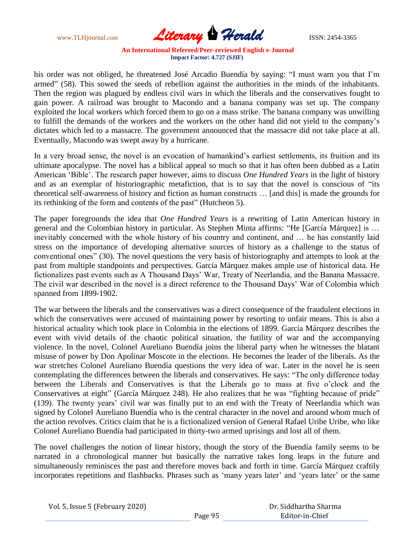www.TLHjournal.com **Literary Perald Herald ISSN: 2454-3365** 

his order was not obliged, he threatened José Arcadio Buendía by saying: "I must warn you that I"m armed" (58). This sowed the seeds of rebellion against the authorities in the minds of the inhabitants. Then the region was plagued by endless civil wars in which the liberals and the conservatives fought to gain power. A railroad was brought to Macondo and a banana company was set up. The company exploited the local workers which forced them to go on a mass strike. The banana company was unwilling to fulfill the demands of the workers and the workers on the other hand did not yield to the company"s dictates which led to a massacre. The government announced that the massacre did not take place at all. Eventually, Macondo was swept away by a hurricane.

In a very broad sense, the novel is an evocation of humankind's earliest settlements, its fruition and its ultimate apocalypse. The novel has a biblical appeal so much so that it has often been dubbed as a Latin American "Bible". The research paper however, aims to discuss *One Hundred Years* in the light of history and as an exemplar of historiographic metafiction, that is to say that the novel is conscious of "its theoretical self-awareness of history and fiction as human constructs … [and this] is made the grounds for its rethinking of the form and contents of the past" (Hutcheon 5).

The paper foregrounds the idea that *One Hundred Years* is a rewriting of Latin American history in general and the Colombian history in particular. As Stephen Minta affirms: "He [García Márquez] is … inevitably concerned with the whole history of his country and continent, and … he has constantly laid stress on the importance of developing alternative sources of history as a challenge to the status of conventional ones" (30). The novel questions the very basis of historiography and attempts to look at the past from multiple standpoints and perspectives. García Márquez makes ample use of historical data. He fictionalizes past events such as A Thousand Days" War, Treaty of Neerlandia, and the Banana Massacre. The civil war described in the novel is a direct reference to the Thousand Days" War of Colombia which spanned from 1899-1902.

The war between the liberals and the conservatives was a direct consequence of the fraudulent elections in which the conservatives were accused of maintaining power by resorting to unfair means. This is also a historical actuality which took place in Colombia in the elections of 1899. García Márquez describes the event with vivid details of the chaotic political situation, the futility of war and the accompanying violence. In the novel, Colonel Aureliano Buendía joins the liberal party when he witnesses the blatant misuse of power by Don Apolinar Moscote in the elections. He becomes the leader of the liberals. As the war stretches Colonel Aureliano Buendía questions the very idea of war. Later in the novel he is seen contemplating the differences between the liberals and conservatives. He says: "The only difference today between the Liberals and Conservatives is that the Liberals go to mass at five o"clock and the Conservatives at eight" (García Márquez 248). He also realizes that he was "fighting because of pride" (139). The twenty years" civil war was finally put to an end with the Treaty of Neerlandia which was signed by Colonel Aureliano Buendía who is the central character in the novel and around whom much of the action revolves. Critics claim that he is a fictionalized version of General Rafael Uribe Uribe, who like Colonel Aureliano Buendía had participated in thirty-two armed uprisings and lost all of them.

The novel challenges the notion of linear history, though the story of the Buendía family seems to be narrated in a chronological manner but basically the narrative takes long leaps in the future and simultaneously reminisces the past and therefore moves back and forth in time. García Márquez craftily incorporates repetitions and flashbacks. Phrases such as 'many years later' and 'years later' or the same

Page 95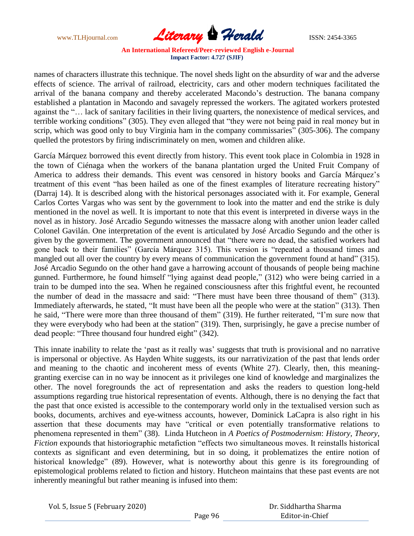www.TLHjournal.com **Literary Perald ISSN: 2454-3365** 

names of characters illustrate this technique. The novel sheds light on the absurdity of war and the adverse effects of science. The arrival of railroad, electricity, cars and other modern techniques facilitated the arrival of the banana company and thereby accelerated Macondo"s destruction. The banana company established a plantation in Macondo and savagely repressed the workers. The agitated workers protested against the "… lack of sanitary facilities in their living quarters, the nonexistence of medical services, and terrible working conditions" (305). They even alleged that "they were not being paid in real money but in scrip, which was good only to buy Virginia ham in the company commissaries" (305-306). The company quelled the protestors by firing indiscriminately on men, women and children alike.

García Márquez borrowed this event directly from history. This event took place in Colombia in 1928 in the town of Ciénaga when the workers of the banana plantation urged the United Fruit Company of America to address their demands. This event was censored in history books and García Márquez"s treatment of this event "has been hailed as one of the finest examples of literature recreating history" (Darraj 14). It is described along with the historical personages associated with it. For example, General Carlos Cortes Vargas who was sent by the government to look into the matter and end the strike is duly mentioned in the novel as well. It is important to note that this event is interpreted in diverse ways in the novel as in history. José Arcadio Segundo witnesses the massacre along with another union leader called Colonel Gavilán. One interpretation of the event is articulated by José Arcadio Segundo and the other is given by the government. The government announced that "there were no dead, the satisfied workers had gone back to their families" (García Márquez 315). This version is "repeated a thousand times and mangled out all over the country by every means of communication the government found at hand" (315). José Arcadio Segundo on the other hand gave a harrowing account of thousands of people being machine gunned. Furthermore, he found himself "lying against dead people," (312) who were being carried in a train to be dumped into the sea. When he regained consciousness after this frightful event, he recounted the number of dead in the massacre and said: "There must have been three thousand of them" (313). Immediately afterwards, he stated, "It must have been all the people who were at the station" (313). Then he said, "There were more than three thousand of them" (319). He further reiterated, "I"m sure now that they were everybody who had been at the station" (319). Then, surprisingly, he gave a precise number of dead people: "Three thousand four hundred eight" (342).

This innate inability to relate the 'past as it really was' suggests that truth is provisional and no narrative is impersonal or objective. As Hayden White suggests, its our narrativization of the past that lends order and meaning to the chaotic and incoherent mess of events (White 27). Clearly, then, this meaninggranting exercise can in no way be innocent as it privileges one kind of knowledge and marginalizes the other. The novel foregrounds the act of representation and asks the readers to question long-held assumptions regarding true historical representation of events. Although, there is no denying the fact that the past that once existed is accessible to the contemporary world only in the textualised version such as books, documents, archives and eye-witness accounts, however, Dominick LaCapra is also right in his assertion that these documents may have "critical or even potentially transformative relations to phenomena represented in them" (38). Linda Hutcheon in *A Poetics of Postmodernism*: *History, Theory, Fiction* expounds that historiographic metafiction "effects two simultaneous moves. It reinstalls historical contexts as significant and even determining, but in so doing, it problematizes the entire notion of historical knowledge" (89). However, what is noteworthy about this genre is its foregrounding of epistemological problems related to fiction and history. Hutcheon maintains that these past events are not inherently meaningful but rather meaning is infused into them:

 Dr. Siddhartha Sharma Editor-in-Chief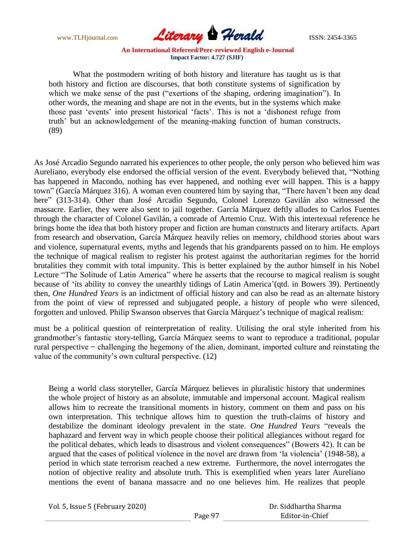

 What the postmodern writing of both history and literature has taught us is that both history and fiction are discourses, that both constitute systems of signification by which we make sense of the past ("exertions of the shaping, ordering imagination"). In other words, the meaning and shape are not in the events, but in the systems which make those past "events" into present historical "facts". This is not a "dishonest refuge from truth" but an acknowledgement of the meaning-making function of human constructs. (89)

As José Arcadio Segundo narrated his experiences to other people, the only person who believed him was Aureliano, everybody else endorsed the official version of the event. Everybody believed that, "Nothing has happened in Macondo, nothing has ever happened, and nothing ever will happen. This is a happy town" (García Márquez 316). A woman even countered him by saying that, "There haven"t been any dead here" (313-314). Other than José Arcadio Segundo, Colonel Lorenzo Gavilán also witnessed the massacre. Earlier, they were also sent to jail together. García Márquez deftly alludes to Carlos Fuentes through the character of Colonel Gavilán, a comrade of Artemio Cruz. With this intertexual reference he brings home the idea that both history proper and fiction are human constructs and literary artifacts. Apart from research and observation, García Márquez heavily relies on memory, childhood stories about wars and violence, supernatural events, myths and legends that his grandparents passed on to him. He employs the technique of magical realism to register his protest against the authoritarian regimes for the horrid brutalities they commit with total impunity. This is better explained by the author himself in his Nobel Lecture "The Solitude of Latin America" where he asserts that the recourse to magical realism is sought because of 'its ability to convey the unearthly tidings of Latin America' (qtd. in Bowers 39). Pertinently then, *One Hundred Years* is an indictment of official history and can also be read as an alternate history from the point of view of repressed and subjugated people, a history of people who were silenced, forgotten and unloved. Philip Swanson observes that García Márquez"s technique of magical realism:

must be a political question of reinterpretation of reality. Utilising the oral style inherited from his grandmother"s fantastic story-telling, García Márquez seems to want to reproduce a traditional, popular rural perspective  $-$  challenging the hegemony of the alien, dominant, imported culture and reinstating the value of the community's own cultural perspective. (12)

Being a world class storyteller, García Márquez believes in pluralistic history that undermines the whole project of history as an absolute, immutable and impersonal account. Magical realism allows him to recreate the transitional moments in history, comment on them and pass on his own interpretation. This technique allows him to question the truth-claims of history and destabilize the dominant ideology prevalent in the state. *One Hundred Years* "reveals the haphazard and fervent way in which people choose their political allegiances without regard for the political debates, which leads to disastrous and violent consequences" (Bowers 42). It can be argued that the cases of political violence in the novel are drawn from "la violencia" (1948-58), a period in which state terrorism reached a new extreme. Furthermore, the novel interrogates the notion of objective reality and absolute truth. This is exemplified when years later Aureliano mentions the event of banana massacre and no one believes him. He realizes that people

Vol. 5, Issue 5 (February 2020)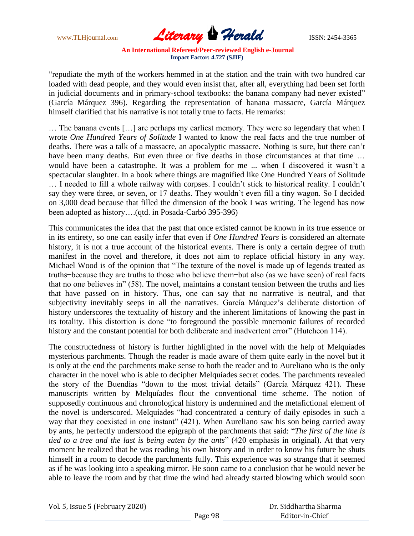

"repudiate the myth of the workers hemmed in at the station and the train with two hundred car loaded with dead people, and they would even insist that, after all, everything had been set forth in judicial documents and in primary-school textbooks: the banana company had never existed" (García Márquez 396). Regarding the representation of banana massacre, García Márquez himself clarified that his narrative is not totally true to facts. He remarks:

… The banana events […] are perhaps my earliest memory. They were so legendary that when I wrote *One Hundred Years of Solitude* I wanted to know the real facts and the true number of deaths. There was a talk of a massacre, an apocalyptic massacre. Nothing is sure, but there can"t have been many deaths. But even three or five deaths in those circumstances at that time ... would have been a catastrophe. It was a problem for me ... when I discovered it wasn"t a spectacular slaughter. In a book where things are magnified like One Hundred Years of Solitude … I needed to fill a whole railway with corpses. I couldn"t stick to historical reality. I couldn"t say they were three, or seven, or 17 deaths. They wouldn"t even fill a tiny wagon. So I decided on 3,000 dead because that filled the dimension of the book I was writing. The legend has now been adopted as history….(qtd. in Posada-Carbó 395-396)

This communicates the idea that the past that once existed cannot be known in its true essence or in its entirety, so one can easily infer that even if *One Hundred Years* is considered an alternate history, it is not a true account of the historical events. There is only a certain degree of truth manifest in the novel and therefore, it does not aim to replace official history in any way. Michael Wood is of the opinion that "The texture of the novel is made up of legends treated as truths-because they are truths to those who believe them-but also (as we have seen) of real facts that no one believes in" (58). The novel, maintains a constant tension between the truths and lies that have passed on in history. Thus, one can say that no narrrative is neutral, and that subjectivity inevitably seeps in all the narratives. García Márquez's deliberate distortion of history underscores the textuality of history and the inherent limitations of knowing the past in its totality. This distortion is done "to foreground the possible mnemonic failures of recorded history and the constant potential for both deliberate and inadvertent error" (Hutcheon 114).

The constructedness of history is further highlighted in the novel with the help of Melquíades mysterious parchments. Though the reader is made aware of them quite early in the novel but it is only at the end the parchments make sense to both the reader and to Aureliano who is the only character in the novel who is able to decipher Melquíades secret codes. The parchments revealed the story of the Buendías "down to the most trivial details" (García Márquez 421). These manuscripts written by Melquíades flout the conventional time scheme. The notion of supposedly continuous and chronological history is undermined and the metafictional element of the novel is underscored. Melquíades "had concentrated a century of daily episodes in such a way that they coexisted in one instant" (421). When Aureliano saw his son being carried away by ants, he perfectly understood the epigraph of the parchments that said: "*The first of the line is tied to a tree and the last is being eaten by the ants*" (420 emphasis in original). At that very moment he realized that he was reading his own history and in order to know his future he shuts himself in a room to decode the parchments fully. This experience was so strange that it seemed as if he was looking into a speaking mirror. He soon came to a conclusion that he would never be able to leave the room and by that time the wind had already started blowing which would soon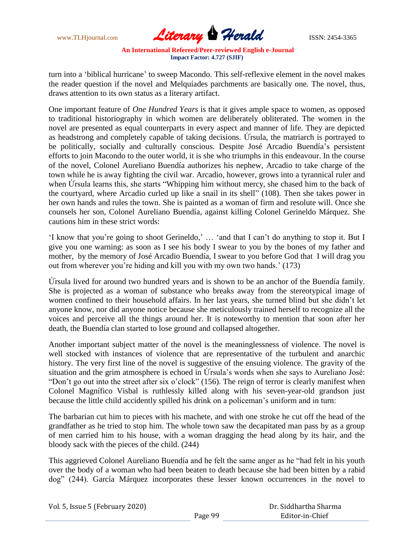

turn into a "biblical hurricane" to sweep Macondo. This self-reflexive element in the novel makes the reader question if the novel and Melquíades parchments are basically one. The novel, thus, draws attention to its own status as a literary artifact.

One important feature of *One Hundred Years* is that it gives ample space to women, as opposed to traditional historiography in which women are deliberately obliterated. The women in the novel are presented as equal counterparts in every aspect and manner of life. They are depicted as headstrong and completely capable of taking decisions. Ứrsula, the matriarch is portrayed to be politically, socially and culturally conscious. Despite José Arcadio Buendía's persistent efforts to join Macondo to the outer world, it is she who triumphs in this endeavour. In the course of the novel, Colonel Aureliano Buendía authorizes his nephew, Arcadio to take charge of the town while he is away fighting the civil war. Arcadio, however, grows into a tyrannical ruler and when Úrsula learns this, she starts "Whipping him without mercy, she chased him to the back of the courtyard, where Arcadio curled up like a snail in its shell" (108). Then she takes power in her own hands and rules the town. She is painted as a woman of firm and resolute will. Once she counsels her son, Colonel Aureliano Buendía, against killing Colonel Gerineldo Márquez. She cautions him in these strict words:

"I know that you"re going to shoot Gerineldo," … "and that I can"t do anything to stop it. But I give you one warning: as soon as I see his body I swear to you by the bones of my father and mother, by the memory of José Arcadio Buendía, I swear to you before God that I will drag you out from wherever you"re hiding and kill you with my own two hands." (173)

Ứrsula lived for around two hundred years and is shown to be an anchor of the Buendía family. She is projected as a woman of substance who breaks away from the stereotypical image of women confined to their household affairs. In her last years, she turned blind but she didn"t let anyone know, nor did anyone notice because she meticulously trained herself to recognize all the voices and perceive all the things around her. It is noteworthy to mention that soon after her death, the Buendía clan started to lose ground and collapsed altogether.

Another important subject matter of the novel is the meaninglessness of violence. The novel is well stocked with instances of violence that are representative of the turbulent and anarchic history. The very first line of the novel is suggestive of the ensuing violence. The gravity of the situation and the grim atmosphere is echoed in Ursula's words when she says to Aureliano José: "Don't go out into the street after six o'clock" (156). The reign of terror is clearly manifest when Colonel Magnífico Visbal is ruthlessly killed along with his seven-year-old grandson just because the little child accidently spilled his drink on a policeman"s uniform and in turn:

The barbarian cut him to pieces with his machete, and with one stroke he cut off the head of the grandfather as he tried to stop him. The whole town saw the decapitated man pass by as a group of men carried him to his house, with a woman dragging the head along by its hair, and the bloody sack with the pieces of the child. (244)

This aggrieved Colonel Aureliano Buendía and he felt the same anger as he "had felt in his youth over the body of a woman who had been beaten to death because she had been bitten by a rabid dog" (244). García Márquez incorporates these lesser known occurrences in the novel to

| Vol. 5, Issue 5 (February 2020) |         | Dr. Siddhartha Sharma |
|---------------------------------|---------|-----------------------|
|                                 | Page 99 | Editor-in-Chief       |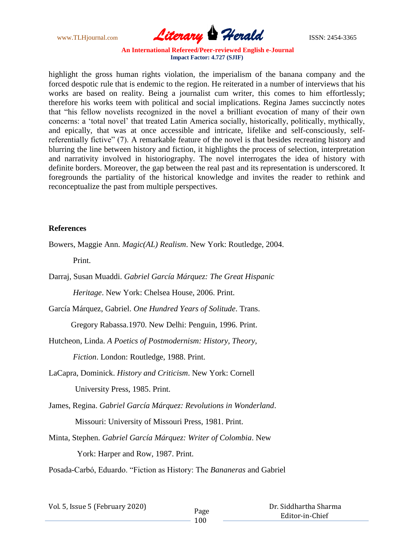www.TLHjournal.com **Literary Perald Herald** ISSN: 2454-3365

highlight the gross human rights violation, the imperialism of the banana company and the forced despotic rule that is endemic to the region. He reiterated in a number of interviews that his works are based on reality. Being a journalist cum writer, this comes to him effortlessly; therefore his works teem with political and social implications. Regina James succinctly notes that "his fellow novelists recognized in the novel a brilliant evocation of many of their own concerns: a "total novel" that treated Latin America socially, historically, politically, mythically, and epically, that was at once accessible and intricate, lifelike and self-consciously, selfreferentially fictive" (7). A remarkable feature of the novel is that besides recreating history and blurring the line between history and fiction, it highlights the process of selection, interpretation and narrativity involved in historiography. The novel interrogates the idea of history with definite borders. Moreover, the gap between the real past and its representation is underscored. It foregrounds the partiality of the historical knowledge and invites the reader to rethink and reconceptualize the past from multiple perspectives.

## **References**

Bowers, Maggie Ann. *Magic(AL) Realism*. New York: Routledge, 2004.

Print.

- Darraj, Susan Muaddi. *Gabriel García Márquez: The Great Hispanic Heritage*. New York: Chelsea House, 2006. Print.
- García Márquez, Gabriel. *One Hundred Years of Solitude*. Trans.

Gregory Rabassa.1970. New Delhi: Penguin, 1996. Print.

Hutcheon, Linda. *A Poetics of Postmodernism: History, Theory,* 

 *Fiction*. London: Routledge, 1988. Print.

- LaCapra, Dominick. *History and Criticism*. New York: Cornell University Press, 1985. Print.
- James, Regina. *Gabriel García Márquez: Revolutions in Wonderland*. Missouri: University of Missouri Press, 1981. Print.

Minta, Stephen. *Gabriel García Márquez: Writer of Colombia*. New

York: Harper and Row, 1987. Print.

Posada-Carbó, Eduardo. "Fiction as History: The *Bananeras* and Gabriel

| Vol. 5, Issue 5 (February 2020) | Page<br>100 | Dr. Siddhartha Sharma |
|---------------------------------|-------------|-----------------------|
|                                 |             | Editor-in-Chief       |
|                                 |             |                       |